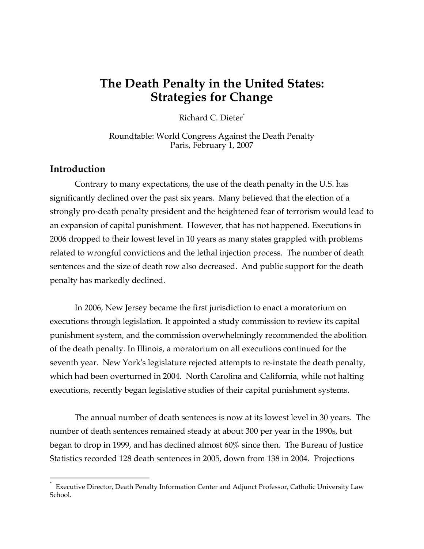# **The Death Penalty in the United States: Strategies for Change**

Richard C. Dieter<sup>\*</sup>

Roundtable: World Congress Against the Death Penalty Paris, February 1, 2007

## **Introduction**

Contrary to many expectations, the use of the death penalty in the U.S. has significantly declined over the past six years. Many believed that the election of a strongly pro-death penalty president and the heightened fear of terrorism would lead to an expansion of capital punishment. However, that has not happened. Executions in 2006 dropped to their lowest level in 10 years as many states grappled with problems related to wrongful convictions and the lethal injection process. The number of death sentences and the size of death row also decreased. And public support for the death penalty has markedly declined.

In 2006, New Jersey became the first jurisdiction to enact a moratorium on executions through legislation. It appointed a study commission to review its capital punishment system, and the commission overwhelmingly recommended the abolition of the death penalty. In Illinois, a moratorium on all executions continued for the seventh year. New York's legislature rejected attempts to re-instate the death penalty, which had been overturned in 2004. North Carolina and California, while not halting executions, recently began legislative studies of their capital punishment systems.

The annual number of death sentences is now at its lowest level in 30 years. The number of death sentences remained steady at about 300 per year in the 1990s, but began to drop in 1999, and has declined almost 60% since then. The Bureau of Justice Statistics recorded 128 death sentences in 2005, down from 138 in 2004. Projections

 <sup>\*</sup> Executive Director, Death Penalty Information Center and Adjunct Professor, Catholic University Law School.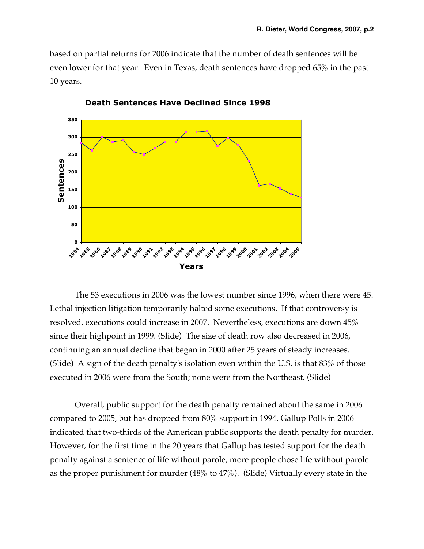based on partial returns for 2006 indicate that the number of death sentences will be even lower for that year. Even in Texas, death sentences have dropped 65% in the past 10 years.



The 53 executions in 2006 was the lowest number since 1996, when there were 45. Lethal injection litigation temporarily halted some executions. If that controversy is resolved, executions could increase in 2007. Nevertheless, executions are down 45% since their highpoint in 1999. (Slide) The size of death row also decreased in 2006, continuing an annual decline that began in 2000 after 25 years of steady increases. (Slide) A sign of the death penalty's isolation even within the U.S. is that 83% of those executed in 2006 were from the South; none were from the Northeast. (Slide)

Overall, public support for the death penalty remained about the same in 2006 compared to 2005, but has dropped from 80% support in 1994. Gallup Polls in 2006 indicated that two-thirds of the American public supports the death penalty for murder. However, for the first time in the 20 years that Gallup has tested support for the death penalty against a sentence of life without parole, more people chose life without parole as the proper punishment for murder (48% to 47%). (Slide) Virtually every state in the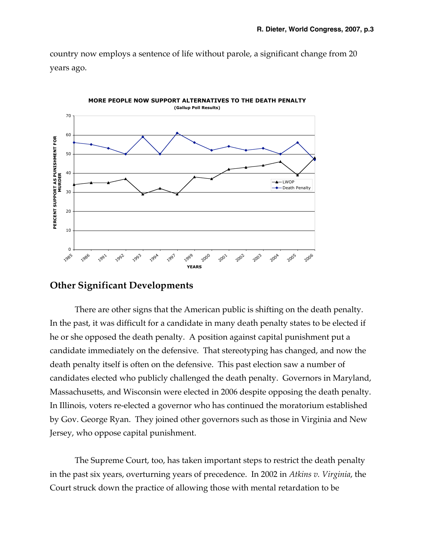country now employs a sentence of life without parole, a significant change from 20 years ago.



## **Other Significant Developments**

There are other signs that the American public is shifting on the death penalty. In the past, it was difficult for a candidate in many death penalty states to be elected if he or she opposed the death penalty. A position against capital punishment put a candidate immediately on the defensive. That stereotyping has changed, and now the death penalty itself is often on the defensive. This past election saw a number of candidates elected who publicly challenged the death penalty. Governors in Maryland, Massachusetts, and Wisconsin were elected in 2006 despite opposing the death penalty. In Illinois, voters re-elected a governor who has continued the moratorium established by Gov. George Ryan. They joined other governors such as those in Virginia and New Jersey, who oppose capital punishment.

The Supreme Court, too, has taken important steps to restrict the death penalty in the past six years, overturning years of precedence. In 2002 in *Atkins v. Virginia*, the Court struck down the practice of allowing those with mental retardation to be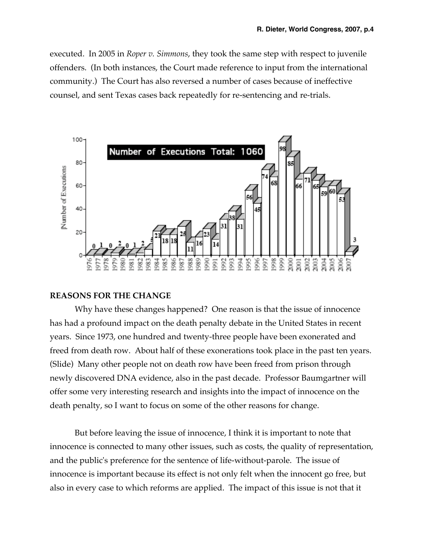executed. In 2005 in *Roper v. Simmons*, they took the same step with respect to juvenile offenders. (In both instances, the Court made reference to input from the international community.) The Court has also reversed a number of cases because of ineffective counsel, and sent Texas cases back repeatedly for re-sentencing and re-trials.



### **REASONS FOR THE CHANGE**

Why have these changes happened? One reason is that the issue of innocence has had a profound impact on the death penalty debate in the United States in recent years. Since 1973, one hundred and twenty-three people have been exonerated and freed from death row. About half of these exonerations took place in the past ten years. (Slide) Many other people not on death row have been freed from prison through newly discovered DNA evidence, also in the past decade. Professor Baumgartner will offer some very interesting research and insights into the impact of innocence on the death penalty, so I want to focus on some of the other reasons for change.

But before leaving the issue of innocence, I think it is important to note that innocence is connected to many other issues, such as costs, the quality of representation, and the public's preference for the sentence of life-without-parole. The issue of innocence is important because its effect is not only felt when the innocent go free, but also in every case to which reforms are applied. The impact of this issue is not that it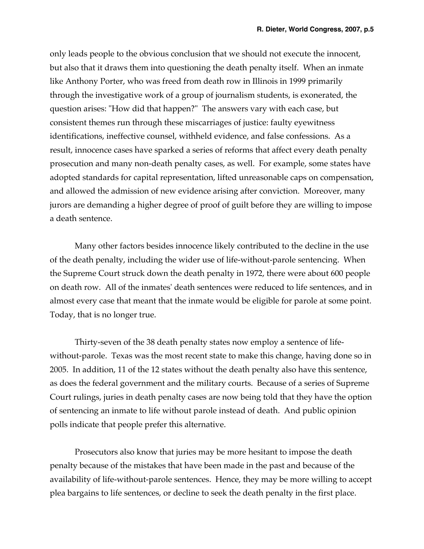only leads people to the obvious conclusion that we should not execute the innocent, but also that it draws them into questioning the death penalty itself. When an inmate like Anthony Porter, who was freed from death row in Illinois in 1999 primarily through the investigative work of a group of journalism students, is exonerated, the question arises: "How did that happen?" The answers vary with each case, but consistent themes run through these miscarriages of justice: faulty eyewitness identifications, ineffective counsel, withheld evidence, and false confessions. As a result, innocence cases have sparked a series of reforms that affect every death penalty prosecution and many non-death penalty cases, as well. For example, some states have adopted standards for capital representation, lifted unreasonable caps on compensation, and allowed the admission of new evidence arising after conviction. Moreover, many jurors are demanding a higher degree of proof of guilt before they are willing to impose a death sentence.

Many other factors besides innocence likely contributed to the decline in the use of the death penalty, including the wider use of life-without-parole sentencing. When the Supreme Court struck down the death penalty in 1972, there were about 600 people on death row. All of the inmates' death sentences were reduced to life sentences, and in almost every case that meant that the inmate would be eligible for parole at some point. Today, that is no longer true.

Thirty-seven of the 38 death penalty states now employ a sentence of lifewithout-parole. Texas was the most recent state to make this change, having done so in 2005. In addition, 11 of the 12 states without the death penalty also have this sentence, as does the federal government and the military courts. Because of a series of Supreme Court rulings, juries in death penalty cases are now being told that they have the option of sentencing an inmate to life without parole instead of death. And public opinion polls indicate that people prefer this alternative.

Prosecutors also know that juries may be more hesitant to impose the death penalty because of the mistakes that have been made in the past and because of the availability of life-without-parole sentences. Hence, they may be more willing to accept plea bargains to life sentences, or decline to seek the death penalty in the first place.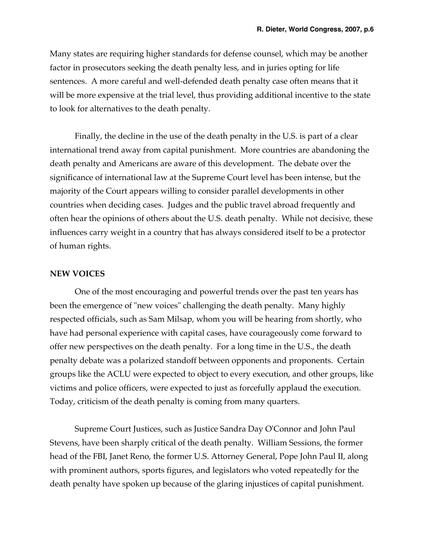Many states are requiring higher standards for defense counsel, which may be another factor in prosecutors seeking the death penalty less, and in juries opting for life sentences. A more careful and well-defended death penalty case often means that it will be more expensive at the trial level, thus providing additional incentive to the state to look for alternatives to the death penalty.

Finally, the decline in the use of the death penalty in the U.S. is part of a clear international trend away from capital punishment. More countries are abandoning the death penalty and Americans are aware of this development. The debate over the significance of international law at the Supreme Court level has been intense, but the majority of the Court appears willing to consider parallel developments in other countries when deciding cases. Judges and the public travel abroad frequently and often hear the opinions of others about the U.S. death penalty. While not decisive, these influences carry weight in a country that has always considered itself to be a protector of human rights.

### **NEW VOICES**

One of the most encouraging and powerful trends over the past ten years has been the emergence of "new voices" challenging the death penalty. Many highly respected officials, such as Sam Milsap, whom you will be hearing from shortly, who have had personal experience with capital cases, have courageously come forward to offer new perspectives on the death penalty. For a long time in the U.S., the death penalty debate was a polarized standoff between opponents and proponents. Certain groups like the ACLU were expected to object to every execution, and other groups, like victims and police officers, were expected to just as forcefully applaud the execution. Today, criticism of the death penalty is coming from many quarters.

Supreme Court Justices, such as Justice Sandra Day O'Connor and John Paul Stevens, have been sharply critical of the death penalty. William Sessions, the former head of the FBI, Janet Reno, the former U.S. Attorney General, Pope John Paul II, along with prominent authors, sports figures, and legislators who voted repeatedly for the death penalty have spoken up because of the glaring injustices of capital punishment.